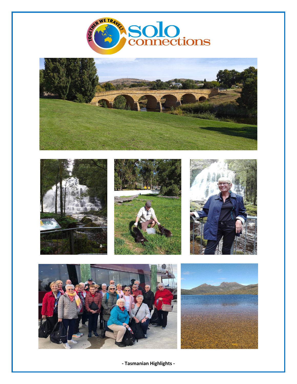









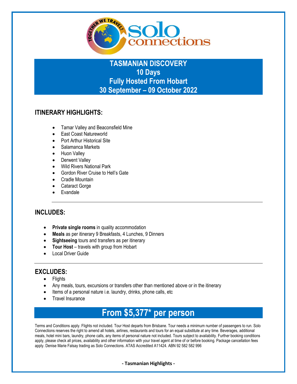

## **TASMANIAN DISCOVERY 10 Days Fully Hosted From Hobart 30 September – 09 October 2022**

## **ITINERARY HIGHLIGHTS:**

- Tamar Valley and Beaconsfield Mine
- East Coast Natureworld
- Port Arthur Historical Site
- Salamanca Markets
- Huon Valley
- Derwent Valley
- Wild Rivers National Park
- Gordon River Cruise to Hell's Gate
- Cradle Mountain
- Cataract Gorge
- Evandale

## **INCLUDES:**

- **Private single rooms** in quality accommodation
- **Meals** as per itinerary 9 Breakfasts, 4 Lunches, 9 Dinners
- **Sightseeing** tours and transfers as per itinerary
- **Tour Host** travels with group from Hobart
- Local Driver Guide

## **EXCLUDES:**

- Flights
- Any meals, tours, excursions or transfers other than mentioned above or in the itinerary
- Items of a personal nature i.e. laundry, drinks, phone calls, etc
- Travel Insurance

# **From \$5,377\* per person**

Terms and Conditions apply. Flights not included. Tour Host departs from Brisbane. Tour needs a minimum number of passengers to run. Solo Connections reserves the right to amend all hotels, airlines, restaurants and tours for an equal substitute at any time. Beverages, additional meals, hotel mini bars, laundry, phone calls, any items of personal nature not included. Tours subject to availability. Further booking conditions apply, please check all prices, availability and other information with your travel agent at time of or before booking. Package cancellation fees apply. Denise Marie Falsay trading as Solo Connections. ATAS Accredited A11424. ABN 92 582 582 996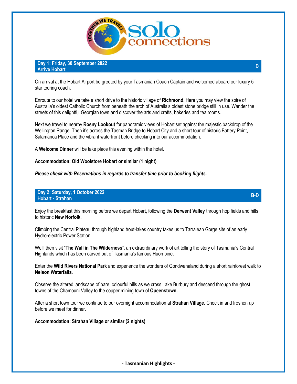

**Day 1: Friday, 30 September 2022 Arrive Hobart <sup>D</sup>**

On arrival at the Hobart Airport be greeted by your Tasmanian Coach Captain and welcomed aboard our luxury 5 star touring coach.

Enroute to our hotel we take a short drive to the historic village of **Richmond**. Here you may view the spire of Australia's oldest Catholic Church from beneath the arch of Australia's oldest stone bridge still in use. Wander the streets of this delightful Georgian town and discover the arts and crafts, bakeries and tea rooms.

Next we travel to nearby **Rosny Lookout** for panoramic views of Hobart set against the majestic backdrop of the Wellington Range. Then it's across the Tasman Bridge to Hobart City and a short tour of historic Battery Point, Salamanca Place and the vibrant waterfront before checking into our accommodation.

A **Welcome Dinner** will be take place this evening within the hotel.

**Accommodation: Old Woolstore Hobart or similar (1 night)** 

*Please check with Reservations in regards to transfer time prior to booking flights.* 

**Day 2: Saturday, 1 October 2022 Hobart - Strahan B-D** 

Enjoy the breakfast this morning before we depart Hobart, following the **Derwent Valley** through hop fields and hills to historic **New Norfolk**.

Climbing the Central Plateau through highland trout-lakes country takes us to Tarraleah Gorge site of an early Hydro-electric Power Station.

We'll then visit "**The Wall in The Wilderness**", an extraordinary work of art telling the story of Tasmania's Central Highlands which has been carved out of Tasmania's famous Huon pine.

Enter the **Wild Rivers National Park** and experience the wonders of Gondwanaland during a short rainforest walk to **Nelson Waterfalls**.

Observe the altered landscape of bare, colourful hills as we cross Lake Burbury and descend through the ghost towns of the Chamouni Valley to the copper mining town of **Queenstown.**

After a short town tour we continue to our overnight accommodation at **Strahan Village**. Check in and freshen up before we meet for dinner.

**Accommodation: Strahan Village or similar (2 nights)**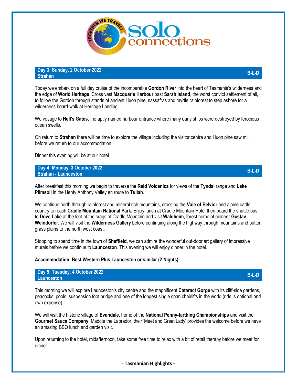

#### **Day 3: Sunday, 2 October 2022 Strahan B-L-D**

Today we embark on a full day cruise of the incomparable **Gordon River** into the heart of Tasmania's wilderness and the edge of **World Heritage**. Cross vast **Macquarie Harbour** past **Sarah Island**, the worst convict settlement of all, to follow the Gordon through stands of ancient Huon pine, sassafras and myrtle rainforest to step ashore for a wilderness board-walk at Heritage Landing.

We voyage to **Hell's Gates**, the aptly named harbour entrance where many early ships were destroyed by ferocious ocean swells.

On return to **Strahan** there will be time to explore the village including the visitor centre and Huon pine saw mill before we return to our accommodation.

Dinner this evening will be at our hotel.

**Day 4: Monday, 3 October 2022 Strahan - Launceston B-L-D** 

After breakfast this morning we begin to traverse the **Reid Volcanics** for views of the **Tyndal** range and **Lake Plimsoll** in the Henty Anthony Valley en route to **Tullah**.

We continue north through rainforest and mineral rich mountains, crossing the **Vale of Belvior** and alpine cattle country to reach **Cradle Mountain National Park**. Enjoy lunch at Cradle Mountain Hotel then board the shuttle bus to **Dove Lake** at the foot of the crags of Cradle Mountain and visit **Waldheim**, forest home of pioneer **Gustav Weindorfer**. We will visit the **Wilderness Gallery** before continuing along the highway through mountains and button grass plains to the north west coast.

Stopping to spend time in the town of **Sheffield**, we can admire the wonderful out-door art gallery of impressive murals before we continue to **Launceston**. This evening we will enjoy dinner in the hotel.

#### **Accommodation: Best Western Plus Launceston or similar (2 Nights)**

**Day 5: Tuesday, 4 October 2022 Launceston B-L-D** 

This morning we will explore Launceston's city centre and the magnificent **Cataract Gorge** with its cliff-side gardens, peacocks, pools, suspension foot bridge and one of the longest single span chairlifts in the world (ride is optional and own expense).

We will visit the historic village of **Evandale**, home of the **National Penny-farthing Championships** and visit the **Gourmet Sauce Company**. Maddie the Labrador, their 'Meet and Greet Lady' provides the welcome before we have an amazing BBQ lunch and garden visit.

Upon returning to the hotel, midafternoon, take some free time to relax with a bit of retail therapy before we meet for dinner.

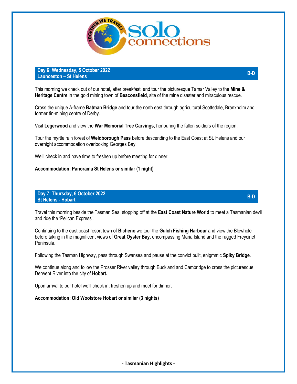

**Day 6: Wednesday, 5 October 2022 Launceston – St Helens B-D** 

This morning we check out of our hotel, after breakfast, and tour the picturesque Tamar Valley to the **Mine & Heritage Centre** in the gold mining town of **Beaconsfield**, site of the mine disaster and miraculous rescue.

Cross the unique A-frame **Batman Bridge** and tour the north east through agricultural Scottsdale, Branxholm and former tin-mining centre of Derby.

Visit **Legerwood** and view the **War Memorial Tree Carvings**, honouring the fallen soldiers of the region.

Tour the myrtle rain forest of **Weldborough Pass** before descending to the East Coast at St. Helens and our overnight accommodation overlooking Georges Bay.

We'll check in and have time to freshen up before meeting for dinner.

**Accommodation: Panorama St Helens or similar (1 night)** 

#### **Day 7: Thursday, 6 October 2022 St Helens - Hobart B-D**

Travel this morning beside the Tasman Sea, stopping off at the **East Coast Nature World** to meet a Tasmanian devil and ride the 'Pelican Express'.

Continuing to the east coast resort town of **Bicheno** we tour the **Gulch Fishing Harbour** and view the Blowhole before taking in the magnificent views of **Great Oyster Bay**, encompassing Maria Island and the rugged Freycinet Peninsula.

Following the Tasman Highway, pass through Swansea and pause at the convict built, enigmatic **Spiky Bridge**.

We continue along and follow the Prosser River valley through Buckland and Cambridge to cross the picturesque Derwent River into the city of **Hobart.** 

Upon arrival to our hotel we'll check in, freshen up and meet for dinner.

#### **Accommodation: Old Woolstore Hobart or similar (3 nights)**